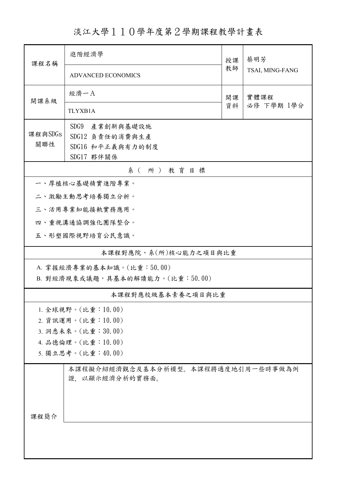淡江大學110學年度第2學期課程教學計畫表

| 課程名稱                            | 進階經濟學                              | 授課 | 蔡明芳                |  |  |
|---------------------------------|------------------------------------|----|--------------------|--|--|
|                                 | <b>ADVANCED ECONOMICS</b>          | 教師 | TSAI, MING-FANG    |  |  |
| 開課系級                            | 經濟一A                               | 開課 | 實體課程<br>必修 下學期 1學分 |  |  |
|                                 | <b>TLYXB1A</b>                     | 資料 |                    |  |  |
|                                 | SDG9<br>產業創新與基礎設施                  |    |                    |  |  |
| 課程與SDGs<br>關聯性                  | SDG12 負責任的消費與生產                    |    |                    |  |  |
|                                 | SDG16 和平正義與有力的制度<br>SDG17 夥伴關係     |    |                    |  |  |
| 系(所)教育目標                        |                                    |    |                    |  |  |
| 一、厚植核心基礎精實進階專業。                 |                                    |    |                    |  |  |
|                                 | 二、激勵主動思考培養獨立分析。                    |    |                    |  |  |
|                                 | 三、活用專業知能接軌實務應用。                    |    |                    |  |  |
|                                 | 四、重視溝通協調強化團隊整合。                    |    |                    |  |  |
| 五、形塑國際視野培育公民意識。                 |                                    |    |                    |  |  |
| 本課程對應院、系(所)核心能力之項目與比重           |                                    |    |                    |  |  |
| A. 掌握經濟專業的基本知識。(比重:50.00)       |                                    |    |                    |  |  |
| B. 對經濟現象或議題,具基本的解讀能力。(比重:50.00) |                                    |    |                    |  |  |
| 本課程對應校級基本素養之項目與比重               |                                    |    |                    |  |  |
|                                 | 1. 全球視野。(比重:10.00)                 |    |                    |  |  |
| 2. 資訊運用。(比重:10.00)              |                                    |    |                    |  |  |
| 3. 洞悉未來。(比重:30.00)              |                                    |    |                    |  |  |
| 4. 品德倫理。(比重:10.00)              |                                    |    |                    |  |  |
| 5. 獨立思考。(比重:40.00)              |                                    |    |                    |  |  |
|                                 | 本課程擬介紹經濟觀念及基本分析模型。本課程將適度地引用一些時事做為例 |    |                    |  |  |
|                                 | 證,以顯示經濟分析的實務面。                     |    |                    |  |  |
|                                 |                                    |    |                    |  |  |
|                                 |                                    |    |                    |  |  |
| 課程簡介                            |                                    |    |                    |  |  |
|                                 |                                    |    |                    |  |  |
|                                 |                                    |    |                    |  |  |
|                                 |                                    |    |                    |  |  |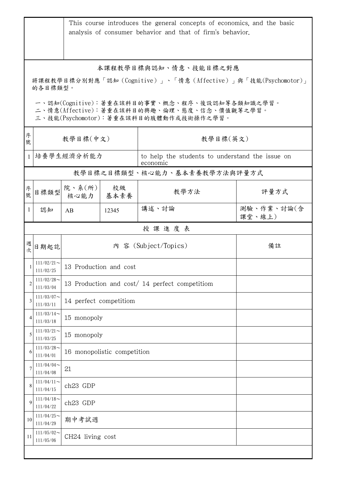|                                                                                                                                                                                                                                            | This course introduces the general concepts of economics, and the basic<br>analysis of consumer behavior and that of firm's behavior. |                                                |            |                                                             |                      |  |  |
|--------------------------------------------------------------------------------------------------------------------------------------------------------------------------------------------------------------------------------------------|---------------------------------------------------------------------------------------------------------------------------------------|------------------------------------------------|------------|-------------------------------------------------------------|----------------------|--|--|
| 本課程教學目標與認知、情意、技能目標之對應<br>將課程教學目標分別對應「認知(Cognitive)」、「情意(Affective)」與「技能(Psychomotor)」<br>的各目標類型。<br>一、認知(Cognitive):著重在該科目的事實、概念、程序、後設認知等各類知識之學習。<br>二、情意(Affective):著重在該科目的興趣、倫理、態度、信念、價值觀等之學習。<br>三、技能(Psychomotor):著重在該科目的肢體動作或技術操作之學習。 |                                                                                                                                       |                                                |            |                                                             |                      |  |  |
| 序<br>號                                                                                                                                                                                                                                     | 教學目標(中文)                                                                                                                              |                                                |            | 教學目標(英文)                                                    |                      |  |  |
| $\mathbf{1}$                                                                                                                                                                                                                               |                                                                                                                                       | 培養學生經濟分析能力                                     |            | to help the students to understand the issue on<br>economic |                      |  |  |
|                                                                                                                                                                                                                                            |                                                                                                                                       |                                                |            | 教學目標之目標類型、核心能力、基本素養教學方法與評量方式                                |                      |  |  |
| 序號                                                                                                                                                                                                                                         | 目標類型                                                                                                                                  | 院、系(所)<br>核心能力                                 | 校級<br>基本素養 | 教學方法                                                        | 評量方式                 |  |  |
| $\mathbf{1}$                                                                                                                                                                                                                               | 認知                                                                                                                                    | AB                                             | 12345      | 講述、討論                                                       | 測驗、作業、討論(含<br>課堂、線上) |  |  |
|                                                                                                                                                                                                                                            |                                                                                                                                       |                                                |            | 授課進度表                                                       |                      |  |  |
| 週次                                                                                                                                                                                                                                         | 日期起訖                                                                                                                                  |                                                |            | 內 容 (Subject/Topics)                                        | 備註                   |  |  |
|                                                                                                                                                                                                                                            | $111/02/21$ ~<br>111/02/25                                                                                                            | 13 Production and cost                         |            |                                                             |                      |  |  |
| 2                                                                                                                                                                                                                                          | $111/02/28$ ~<br>111/03/04                                                                                                            | 13 Production and cost/ 14 perfect competitiom |            |                                                             |                      |  |  |
| 3                                                                                                                                                                                                                                          | $111/03/07$ ~<br>111/03/11                                                                                                            | 14 perfect competitiom                         |            |                                                             |                      |  |  |
| 4                                                                                                                                                                                                                                          | $111/03/14$ ~<br>111/03/18                                                                                                            | 15 monopoly                                    |            |                                                             |                      |  |  |
| 5                                                                                                                                                                                                                                          | $111/03/21$ ~<br>111/03/25                                                                                                            | 15 monopoly                                    |            |                                                             |                      |  |  |
| 6                                                                                                                                                                                                                                          | $111/03/28$ ~<br>111/04/01                                                                                                            | 16 monopolistic competition                    |            |                                                             |                      |  |  |
| 7                                                                                                                                                                                                                                          | $111/04/04$ ~<br>111/04/08                                                                                                            | 21                                             |            |                                                             |                      |  |  |
|                                                                                                                                                                                                                                            | $111/04/11$ ~<br>111/04/15                                                                                                            | ch23 GDP                                       |            |                                                             |                      |  |  |
| 9                                                                                                                                                                                                                                          | $111/04/18$ ~<br>111/04/22                                                                                                            | ch23 GDP                                       |            |                                                             |                      |  |  |
| 10                                                                                                                                                                                                                                         | $111/04/25$ ~<br>111/04/29                                                                                                            | 期中考試週                                          |            |                                                             |                      |  |  |
| 11                                                                                                                                                                                                                                         | $111/05/02$ ~<br>111/05/06                                                                                                            | CH24 living cost                               |            |                                                             |                      |  |  |
|                                                                                                                                                                                                                                            |                                                                                                                                       |                                                |            |                                                             |                      |  |  |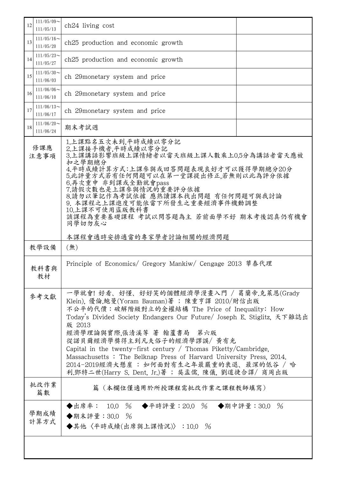| 12                                                                      | $111/05/09$ ~<br>111/05/13 | ch24 living cost                                                                                                                                                                                                                                                                                                                                                                                                                                                                                                                       |      |  |  |
|-------------------------------------------------------------------------|----------------------------|----------------------------------------------------------------------------------------------------------------------------------------------------------------------------------------------------------------------------------------------------------------------------------------------------------------------------------------------------------------------------------------------------------------------------------------------------------------------------------------------------------------------------------------|------|--|--|
| 13                                                                      | $111/05/16$ ~<br>111/05/20 | ch25 production and economic growth                                                                                                                                                                                                                                                                                                                                                                                                                                                                                                    |      |  |  |
| 14                                                                      | $111/05/23$ ~<br>111/05/27 | ch25 production and economic growth                                                                                                                                                                                                                                                                                                                                                                                                                                                                                                    |      |  |  |
| 15                                                                      | $111/05/30$ ~<br>111/06/03 | ch 29 monetary system and price                                                                                                                                                                                                                                                                                                                                                                                                                                                                                                        |      |  |  |
| 16                                                                      | $111/06/06$ ~<br>111/06/10 | ch 29 monetary system and price                                                                                                                                                                                                                                                                                                                                                                                                                                                                                                        |      |  |  |
| 17                                                                      | $111/06/13$ ~<br>111/06/17 | ch 29 monetary system and price                                                                                                                                                                                                                                                                                                                                                                                                                                                                                                        |      |  |  |
| 18                                                                      | $111/06/20$ ~<br>111/06/24 | 期末考試週                                                                                                                                                                                                                                                                                                                                                                                                                                                                                                                                  |      |  |  |
| 修課應<br>注意事項                                                             |                            | 1.上課點名五次未到,平時成績以零分記<br>2.上課接手機者,平時成績以零分記<br>3.上課講話影響班級上課情緒者以當天班級上課人數乘上0.5分為講話者當天應被<br>扣之學期總分<br>4.平時成績計算方式:上課參與或回答問題表現良好才可以獲得學期總分20分<br>5.此評量方式若有任何問題可以在第一堂課提出修正若無則以此為評分依據<br>6.再次重申 非到課或全勤就會pass<br>7.請假次數也是上課參與情況的重要評分依據<br>8.請勿以筆記作為考試依據 應熟讀課本找出問題 有任何問題可與我討論<br>9. 本課程之上課進度可能依當下所發生之重要經濟事件機動調整<br>10.上課不可使用盜版教科書<br>該課程為重要基礎課程 考試以問答題為主 若前面學不好 期末考後認真仍有機會<br>同學切勿灰心<br>本課程會適時安排適當的專家學者討論相關的經濟問題                                                                                                                                    |      |  |  |
|                                                                         | 教學設備                       | (無)                                                                                                                                                                                                                                                                                                                                                                                                                                                                                                                                    |      |  |  |
| Principle of Economics/ Gregory Mankiw/ Cengage 2013 華泰代理<br>教科書與<br>教材 |                            |                                                                                                                                                                                                                                                                                                                                                                                                                                                                                                                                        |      |  |  |
| 參考文獻                                                                    |                            | 一學就會!好看、好懂、好好笑的個體經濟學漫畫入門 / 葛蘭帝.克萊恩(Grady<br>Klein). 優倫.鮑曼(Yoram Bauman)著; 陳重亨譯 2010/財信出版<br>不公平的代價:破解階級對立的金權結構 The Price of Inequality: How<br>Today's Divided Society Endangers Our Future/ Joseph E. Stiglitz, 天下雜誌出<br>版 2013<br>經濟學理論與實際,張清溪等 著 翰蘆書局 第六版<br>從諾貝爾經濟學獎得主到凡夫俗子的經濟學謬誤/黃有光<br>Capital in the twenty-first century / Thomas Piketty/Cambridge,<br>Massachusetts: The Belknap Press of Harvard University Press, 2014.<br>2014-2019經濟大懸崖 : 如何面對有生之年最嚴重的衰退、最深的低谷 / 哈<br>利.鄧特二世(Harry S. Dent, Jr.)著 ; 吳孟儒, 陳儀, 劉道捷合譯/ 商周出版 |      |  |  |
| 批改作業<br>篇數                                                              |                            | 篇(本欄位僅適用於所授課程需批改作業之課程教師填寫)                                                                                                                                                                                                                                                                                                                                                                                                                                                                                                             |      |  |  |
|                                                                         | 學期成績<br>計算方式               | ◆出席率: 10.0 % ◆平時評量:20.0 % ◆期中評量:30.0<br>◆期末評量: 30.0 %<br>◆其他〈平時成績(出席與上課情況)〉:10.0 %                                                                                                                                                                                                                                                                                                                                                                                                                                                     | $\%$ |  |  |
|                                                                         |                            |                                                                                                                                                                                                                                                                                                                                                                                                                                                                                                                                        |      |  |  |